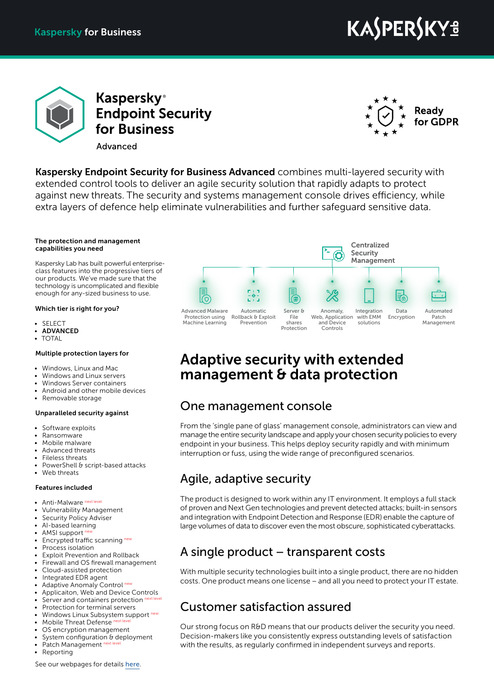# **KASPERSKYS**



**Kaspersky**<sup>®</sup> **Endpoint Security** for Business Advanced



Kaspersky Endpoint Security for Business Advanced combines multi-layered security with extended control tools to deliver an agile security solution that rapidly adapts to protect against new threats. The security and systems management console drives efficiency, while extra layers of defence help eliminate vulnerabilities and further safeguard sensitive data.

#### The protection and management capabilities you need

Kaspersky Lab has built powerful enterpriseclass features into the progressive tiers of our products. We've made sure that the technology is uncomplicated and flexible enough for any-sized business to use.

#### Which tier is right for you?

- SELECT
- **ADVANCED**
- TOTAL

#### Multiple protection layers for

- Windows, Linux and Mac
- Windows and Linux servers
- Windows Server containers
- Android and other mobile devices
- Removable storage

#### Unparalleled security against

- Software exploits
- Ransomware
- Mobile malware
- Advanced threats
- Fileless threats
- PowerShell & script-based attacks
- Web threats

#### Features included

- Anti-Malware next level
- Vulnerability Management
- **Security Policy Adviser**
- AI-based learning
- AMSI support<sup>n</sup>
- Encrypted traffic scanning new
- Process isolation • Exploit Prevention and Rollback
- 
- Firewall and OS firewall management • Cloud-assisted protection
- Integrated EDR agent
- Adaptive Anomaly Control new
- Applicaiton, Web and Device Controls
- Server and containers protection ne
- Protection for terminal servers
- Windows Linux Subsystem support new
- Mobile Threat Defense next
- OS encryption management
- System configuration & deployment
- Patch Management
- Reporting

See our webpages for details [here](https://www.kaspersky.com/small-to-medium-business-security/endpoint-advanced).



### Adaptive security with extended management & data protection

### One management console

From the 'single pane of glass' management console, administrators can view and manage the entire security landscape and apply your chosen security policies to every endpoint in your business. This helps deploy security rapidly and with minimum interruption or fuss, using the wide range of preconfigured scenarios.

### Agile, adaptive security

The product is designed to work within any IT environment. It employs a full stack of proven and Next Gen technologies and prevent detected attacks; built-in sensors and integration with Endpoint Detection and Response (EDR) enable the capture of large volumes of data to discover even the most obscure, sophisticated cyberattacks.

### A single product – transparent costs

With multiple security technologies built into a single product, there are no hidden costs. One product means one license – and all you need to protect your IT estate.

### Customer satisfaction assured

Our strong focus on R&D means that our products deliver the security you need. Decision-makers like you consistently express outstanding levels of satisfaction with the results, as regularly confirmed in independent surveys and reports.